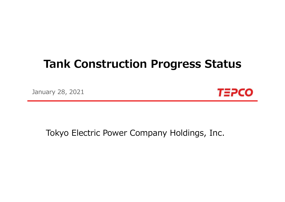# **Tank Construction Progress Status**

January 28, 2021



## Tokyo Electric Power Company Holdings, Inc.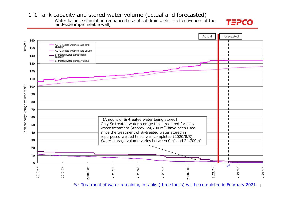1-1 Tank capacity and stored water volume (actual and forecasted)

Water balance simulation (enhanced use of subdrains, etc. + effectiveness of the land-side impermeable wall)





 $\%$ : Treatment of water remaining in tanks (three tanks) will be completed in February 2021.  $_1$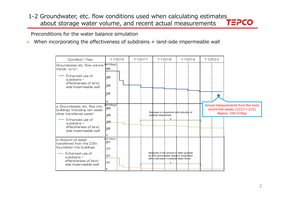#### 1-2 Groundwater, etc. flow conditions used when calculating estimates about storage water volume, and recent actual measurements  $T\equiv PCO$ about storage water volume, and recent actual measurements

Preconditions for the water balance simulation

 $\blacktriangleright$ When incorporating the effectiveness of subdrains + land-side impermeable wall

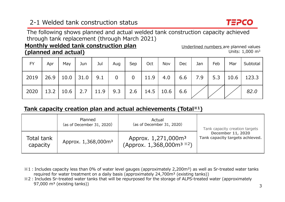## 2-1 Welded tank construction status



The following shows planned and actual welded tank construction capacity achieved through tank replacement (through March 2021)

#### **Monthly welded tank construction plan (planned and actual)**

Underlined numbers are planned values Units: 1,000 m3

| <b>FY</b>                                                       | Apr | May $\vert$ | Jun | Jul | Aug | Sep | Oct | Nov | $Dec$ | Jan | Feb | Mar | Subtotal                                          |
|-----------------------------------------------------------------|-----|-------------|-----|-----|-----|-----|-----|-----|-------|-----|-----|-----|---------------------------------------------------|
| $2019$   26.9   10.0   31.0   9.1   0                           |     |             |     |     |     |     |     |     |       |     |     |     | $0$   11.9   4.0   6.6   7.9   5.3   10.6   123.3 |
| 2020   13.2   10.6   2.7   11.9   9.3   2.6   14.5   10.6   6.6 |     |             |     |     |     |     |     |     |       |     |     |     | 82.0                                              |

#### **Tank capacity creation plan and actual achievements (Total※1 )**

|                        | Planned<br>(as of December 31, 2020) | Actual<br>(as of December 31, 2020)                                                               | Tank capacity creation targets<br>December 11, 2020<br>Tank capacity targets achieved. |  |
|------------------------|--------------------------------------|---------------------------------------------------------------------------------------------------|----------------------------------------------------------------------------------------|--|
| Total tank<br>capacity | Approx. 1,368,000m <sup>3</sup>      | Approx. 1,271,000m <sup>3</sup><br>(Approx. $1,368,000$ m <sup>3 <math>\frac{1}{2}</math></sup> ) |                                                                                        |  |

- ※1︓Includes capacity less than 0% of water level gauges (approximately 2,200m³) as well as Sr-treated water tanks required for water treatment on a daily basis (approximately  $24,700m^3$  (existing tanks))
- ※2︓Includes Sr-treated water tanks that will be repurposed for the storage of ALPS-treated water (approximately 97,000  $\text{m}^3$  (existing tanks))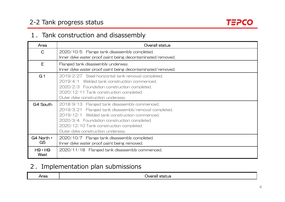## 2-2 Tank progress status



### 1. Tank construction and disassembly

| Area                         | Overall status                                                                                                                                                                                                                                                                         |
|------------------------------|----------------------------------------------------------------------------------------------------------------------------------------------------------------------------------------------------------------------------------------------------------------------------------------|
| $\mathsf{C}$                 | 2020/10/5 Flange tank disassembly completed.<br>Inner dyke water proof paint being decontaminated/removed.                                                                                                                                                                             |
| E                            | Flanged tank disassembly underway.<br>Inner dyke water proof paint being decontaminated/removed.                                                                                                                                                                                       |
| G <sub>1</sub>               | 2019/2/27 Steel horizontal tank removal completed.<br>2019/4/1 Welded tank construction commenced.<br>2020/2/3 Foundation construction completed.<br>2020/12/11 Tank construction completed.<br>Outer dyke construction underway.                                                      |
| G4 South                     | 2018/9/13 Flanged tank disassembly commenced.<br>2019/3/21 Flanged tank disassembly/removal completed.<br>2019/12/1 Welded tank construction commenced.<br>2020/3/4 Foundation construction completed.<br>2020/12/10 Tank construction completed.<br>Outer dyke construction underway. |
| G4 North •<br>G <sub>5</sub> | 2020/10/7 Flange tank disassembly completed.<br>Inner dyke water proof paint being removed.                                                                                                                                                                                            |
| $H9 \cdot H9$<br>West        | 2020/11/18 Flanged tank disassembly commenced.                                                                                                                                                                                                                                         |

## 2.Implementation plan submissions

| Area | лv.<br>wa |
|------|-----------|
|      |           |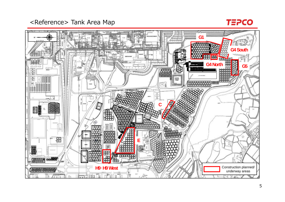<Reference> Tank Area Map